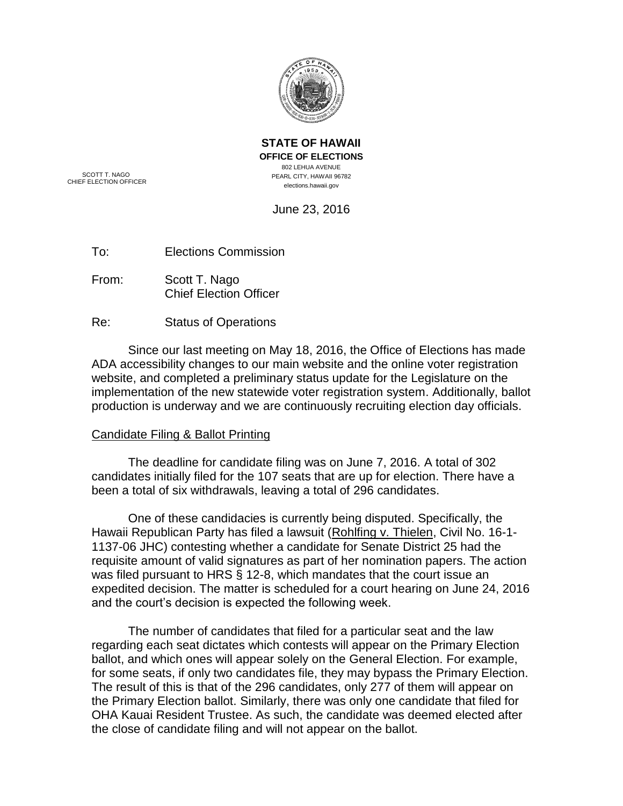

**STATE OF HAWAII OFFICE OF ELECTIONS** 802 LEHUA AVENUE PEARL CITY, HAWAII 96782 elections.hawaii.gov

SCOTT T. NAGO CHIEF ELECTION OFFICER

June 23, 2016

| To: | <b>Elections Commission</b> |
|-----|-----------------------------|
|     |                             |

- From: Scott T. Nago Chief Election Officer
- Re: Status of Operations

Since our last meeting on May 18, 2016, the Office of Elections has made ADA accessibility changes to our main website and the online voter registration website, and completed a preliminary status update for the Legislature on the implementation of the new statewide voter registration system. Additionally, ballot production is underway and we are continuously recruiting election day officials.

## Candidate Filing & Ballot Printing

The deadline for candidate filing was on June 7, 2016. A total of 302 candidates initially filed for the 107 seats that are up for election. There have a been a total of six withdrawals, leaving a total of 296 candidates.

One of these candidacies is currently being disputed. Specifically, the Hawaii Republican Party has filed a lawsuit (Rohlfing v. Thielen, Civil No. 16-1- 1137-06 JHC) contesting whether a candidate for Senate District 25 had the requisite amount of valid signatures as part of her nomination papers. The action was filed pursuant to HRS § 12-8, which mandates that the court issue an expedited decision. The matter is scheduled for a court hearing on June 24, 2016 and the court's decision is expected the following week.

The number of candidates that filed for a particular seat and the law regarding each seat dictates which contests will appear on the Primary Election ballot, and which ones will appear solely on the General Election. For example, for some seats, if only two candidates file, they may bypass the Primary Election. The result of this is that of the 296 candidates, only 277 of them will appear on the Primary Election ballot. Similarly, there was only one candidate that filed for OHA Kauai Resident Trustee. As such, the candidate was deemed elected after the close of candidate filing and will not appear on the ballot.